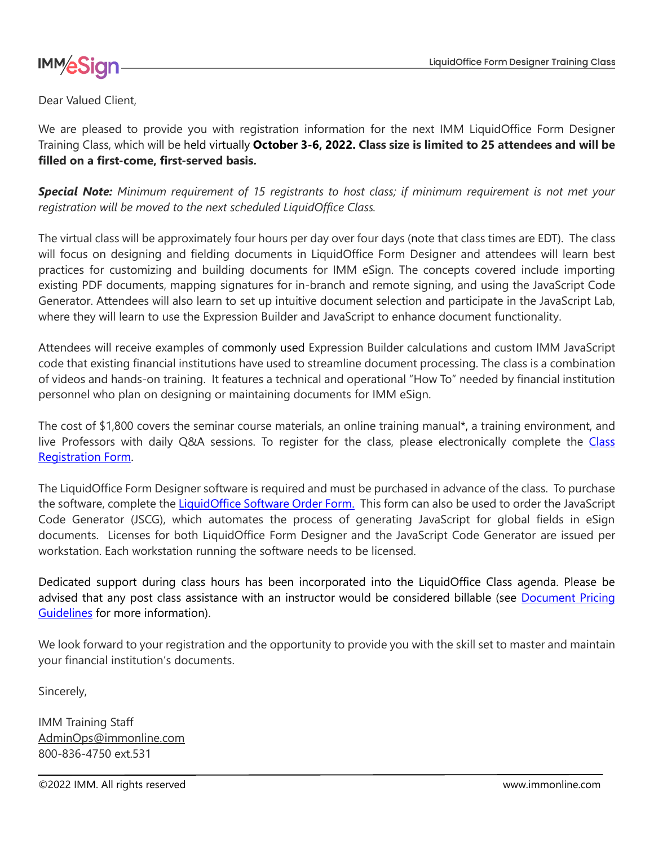



Dear Valued Client,

We are pleased to provide you with registration information for the next IMM LiquidOffice Form Designer Training Class, which will be held virtually **October 3-6, 2022. Class size is limited to 25 attendees and will be filled on a first-come, first-served basis.**

*Special Note: Minimum requirement of 15 registrants to host class; if minimum requirement is not met your registration will be moved to the next scheduled LiquidOffice Class.*

The virtual class will be approximately four hours per day over four days (note that class times are EDT). The class will focus on designing and fielding documents in LiquidOffice Form Designer and attendees will learn best practices for customizing and building documents for IMM eSign. The concepts covered include importing existing PDF documents, mapping signatures for in-branch and remote signing, and using the JavaScript Code Generator. Attendees will also learn to set up intuitive document selection and participate in the JavaScript Lab, where they will learn to use the Expression Builder and JavaScript to enhance document functionality.

Attendees will receive examples of commonly used Expression Builder calculations and custom IMM JavaScript code that existing financial institutions have used to streamline document processing. The class is a combination of videos and hands-on training. It features a technical and operational "How To" needed by financial institution personnel who plan on designing or maintaining documents for IMM eSign.

The cost of \$1,800 covers the seminar course materials, an online training manual\*, a training environment, and live Professors with daily Q&A sessions. To register for the class, please electronically complete the [Class](https://www.immonline.com/resources/liquidoffice/)  [Registration Form.](https://www.immonline.com/resources/liquidoffice/)

The LiquidOffice Form Designer software is required and must be purchased in advance of the class. To purchase the software, complete the [LiquidOffice Software Order Form.](http://www.immonline.com/portfolio-posts/autonomy-forms-designer-software-order/) This form can also be used to order the JavaScript Code Generator (JSCG), which automates the process of generating JavaScript for global fields in eSign documents. Licenses for both LiquidOffice Form Designer and the JavaScript Code Generator are issued per workstation. Each workstation running the software needs to be licensed.

Dedicated support during class hours has been incorporated into the LiquidOffice Class agenda. Please be advised that any post class assistance with an instructor would be considered billable (see Document Pricing [Guidelines](https://www.immonline.com/support/information/#Pricing) for more information).

We look forward to your registration and the opportunity to provide you with the skill set to master and maintain your financial institution's documents.

Sincerely,

IMM Training Staff AdminOps@immonline.com 800-836-4750 ext.531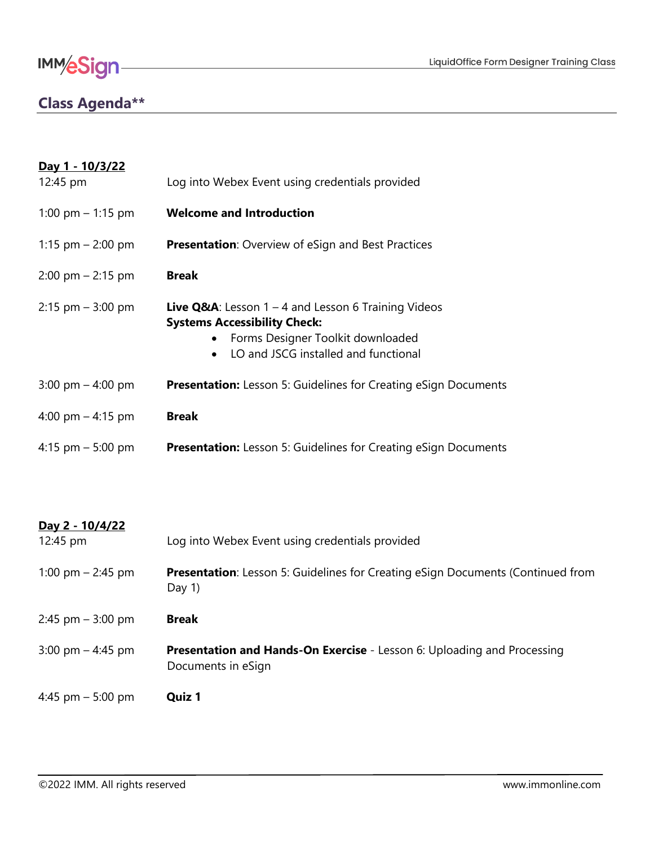

### **Class Agenda\*\***

| <u>Day 1 - 10/3/22</u><br>12:45 pm  | Log into Webex Event using credentials provided                                                                                                                                                      |
|-------------------------------------|------------------------------------------------------------------------------------------------------------------------------------------------------------------------------------------------------|
| 1:00 pm $-$ 1:15 pm                 | <b>Welcome and Introduction</b>                                                                                                                                                                      |
| 1:15 pm $-$ 2:00 pm                 | <b>Presentation:</b> Overview of eSign and Best Practices                                                                                                                                            |
| $2:00 \text{ pm} - 2:15 \text{ pm}$ | <b>Break</b>                                                                                                                                                                                         |
| $2:15$ pm $-3:00$ pm                | <b>Live Q&amp;A</b> : Lesson $1 - 4$ and Lesson 6 Training Videos<br><b>Systems Accessibility Check:</b><br>• Forms Designer Toolkit downloaded<br>LO and JSCG installed and functional<br>$\bullet$ |
| 3:00 pm $-$ 4:00 pm                 | <b>Presentation:</b> Lesson 5: Guidelines for Creating eSign Documents                                                                                                                               |
| 4:00 pm $-$ 4:15 pm                 | <b>Break</b>                                                                                                                                                                                         |
| 4:15 pm $-$ 5:00 pm                 | <b>Presentation:</b> Lesson 5: Guidelines for Creating eSign Documents                                                                                                                               |

<u> 1980 - Johann Barn, mars an t-Amerikaansk politiker (</u>

| Day 2 - 10/4/22<br>12:45 pm         | Log into Webex Event using credentials provided                                                      |
|-------------------------------------|------------------------------------------------------------------------------------------------------|
| 1:00 pm $-$ 2:45 pm                 | <b>Presentation:</b> Lesson 5: Guidelines for Creating eSign Documents (Continued from<br>Day $1$ )  |
| $2:45$ pm $-3:00$ pm                | <b>Break</b>                                                                                         |
| $3:00 \text{ pm} - 4:45 \text{ pm}$ | <b>Presentation and Hands-On Exercise - Lesson 6: Uploading and Processing</b><br>Documents in eSign |
| 4:45 pm $-$ 5:00 pm                 | Quiz 1                                                                                               |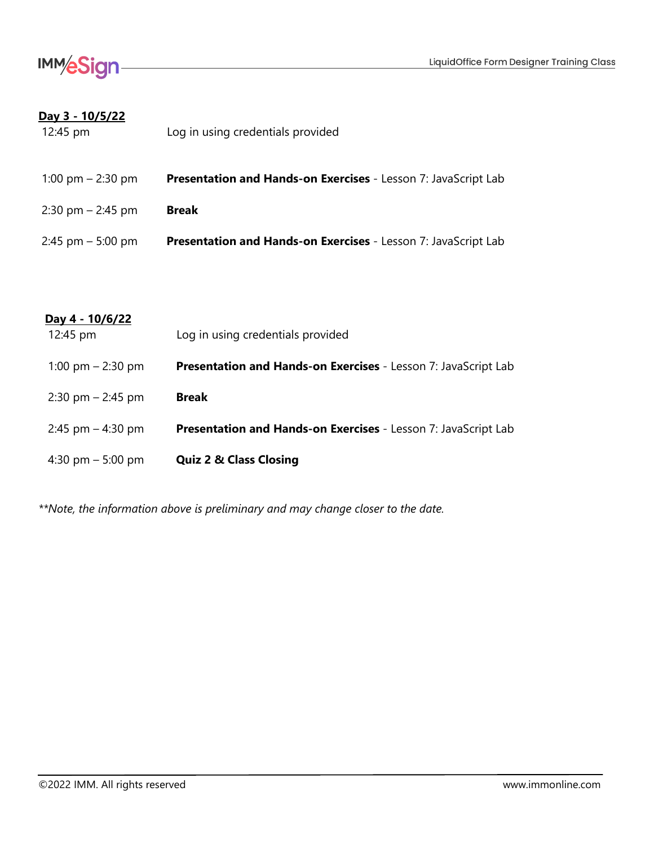

#### **Day 3 - 10/5/22**

| 12:45 pm                            | Log in using credentials provided                                     |
|-------------------------------------|-----------------------------------------------------------------------|
| 1:00 pm $-$ 2:30 pm                 | <b>Presentation and Hands-on Exercises</b> - Lesson 7: JavaScript Lab |
| $2:30 \text{ pm} - 2:45 \text{ pm}$ | <b>Break</b>                                                          |
| $2:45$ pm $-5:00$ pm                | Presentation and Hands-on Exercises - Lesson 7: JavaScript Lab        |

#### **Day 4 - 10/6/22**

| 12:45 pm                            | Log in using credentials provided                                     |
|-------------------------------------|-----------------------------------------------------------------------|
| 1:00 pm $-$ 2:30 pm                 | Presentation and Hands-on Exercises - Lesson 7: JavaScript Lab        |
| $2:30 \text{ pm} - 2:45 \text{ pm}$ | <b>Break</b>                                                          |
| 2:45 pm $-$ 4:30 pm                 | <b>Presentation and Hands-on Exercises</b> - Lesson 7: JavaScript Lab |
| 4:30 pm $-$ 5:00 pm                 | <b>Quiz 2 &amp; Class Closing</b>                                     |

*\*\*Note, the information above is preliminary and may change closer to the date.*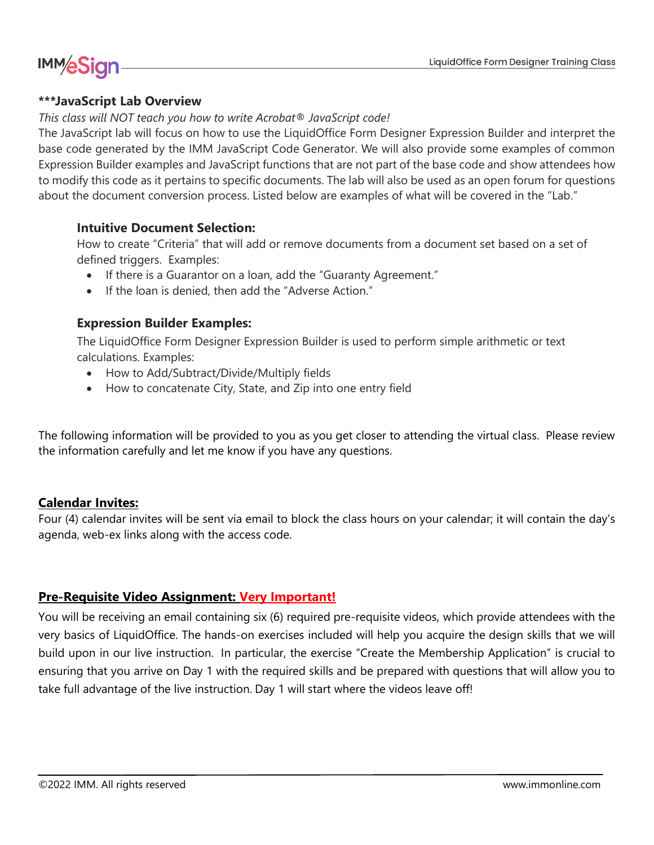## **IMM/eSign**

#### **\*\*\*JavaScript Lab Overview**

#### *This class will NOT teach you how to write Acrobat® JavaScript code!*

The JavaScript lab will focus on how to use the LiquidOffice Form Designer Expression Builder and interpret the base code generated by the IMM JavaScript Code Generator. We will also provide some examples of common Expression Builder examples and JavaScript functions that are not part of the base code and show attendees how to modify this code as it pertains to specific documents. The lab will also be used as an open forum for questions about the document conversion process. Listed below are examples of what will be covered in the "Lab."

#### **Intuitive Document Selection:**

How to create "Criteria" that will add or remove documents from a document set based on a set of defined triggers. Examples:

- If there is a Guarantor on a loan, add the "Guaranty Agreement."
- If the loan is denied, then add the "Adverse Action."

#### **Expression Builder Examples:**

The LiquidOffice Form Designer Expression Builder is used to perform simple arithmetic or text calculations. Examples:

- How to Add/Subtract/Divide/Multiply fields
- How to concatenate City, State, and Zip into one entry field

The following information will be provided to you as you get closer to attending the virtual class. Please review the information carefully and let me know if you have any questions.

#### **Calendar Invites:**

Four (4) calendar invites will be sent via email to block the class hours on your calendar; it will contain the day's agenda, web-ex links along with the access code.

#### **Pre-Requisite Video Assignment: Very Important!**

You will be receiving an email containing six (6) required pre-requisite videos, which provide attendees with the very basics of LiquidOffice. The hands-on exercises included will help you acquire the design skills that we will build upon in our live instruction. In particular, the exercise "Create the Membership Application" is crucial to ensuring that you arrive on Day 1 with the required skills and be prepared with questions that will allow you to take full advantage of the live instruction. Day 1 will start where the videos leave off!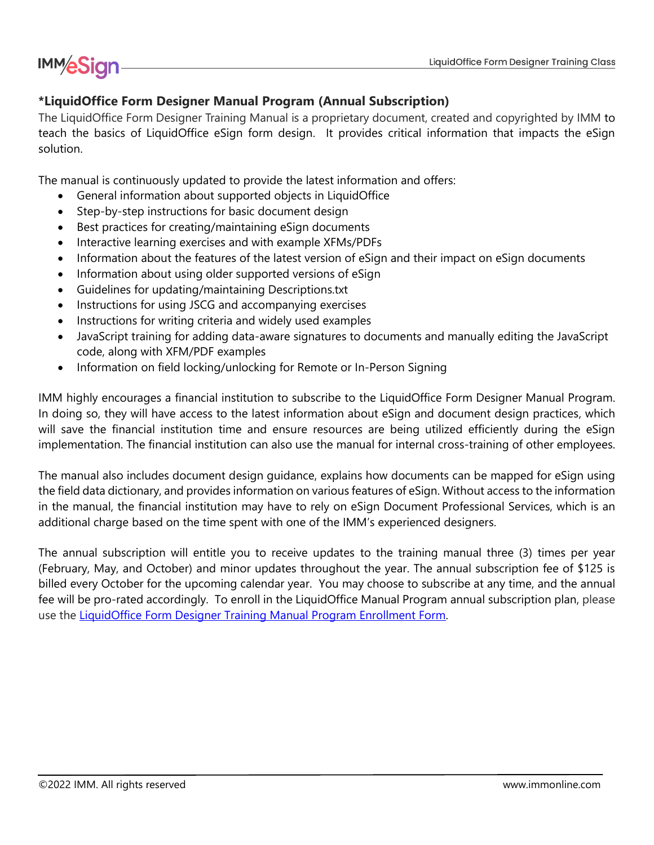# **IMM/eSign**

#### **\*LiquidOffice Form Designer Manual Program (Annual Subscription)**

The LiquidOffice Form Designer Training Manual is a proprietary document, created and copyrighted by IMM to teach the basics of LiquidOffice eSign form design. It provides critical information that impacts the eSign solution.

The manual is continuously updated to provide the latest information and offers:

- General information about supported objects in LiquidOffice
- Step-by-step instructions for basic document design
- Best practices for creating/maintaining eSign documents
- Interactive learning exercises and with example XFMs/PDFs
- Information about the features of the latest version of eSign and their impact on eSign documents
- Information about using older supported versions of eSign
- Guidelines for updating/maintaining Descriptions.txt
- Instructions for using JSCG and accompanying exercises
- Instructions for writing criteria and widely used examples
- JavaScript training for adding data-aware signatures to documents and manually editing the JavaScript code, along with XFM/PDF examples
- Information on field locking/unlocking for Remote or In-Person Signing

IMM highly encourages a financial institution to subscribe to the LiquidOffice Form Designer Manual Program. In doing so, they will have access to the latest information about eSign and document design practices, which will save the financial institution time and ensure resources are being utilized efficiently during the eSign implementation. The financial institution can also use the manual for internal cross-training of other employees.

The manual also includes document design guidance, explains how documents can be mapped for eSign using the field data dictionary, and provides information on various features of eSign. Without access to the information in the manual, the financial institution may have to rely on eSign Document Professional Services, which is an additional charge based on the time spent with one of the IMM's experienced designers.

The annual subscription will entitle you to receive updates to the training manual three (3) times per year (February, May, and October) and minor updates throughout the year. The annual subscription fee of \$125 is billed every October for the upcoming calendar year. You may choose to subscribe at any time, and the annual fee will be pro-rated accordingly. To enroll in the LiquidOffice Manual Program annual subscription plan, please use the [LiquidOffice Form Designer Training Manual Program Enrollment Form.](https://www.immonline.com/resource-center/liquidoffice-training-manual-program/)